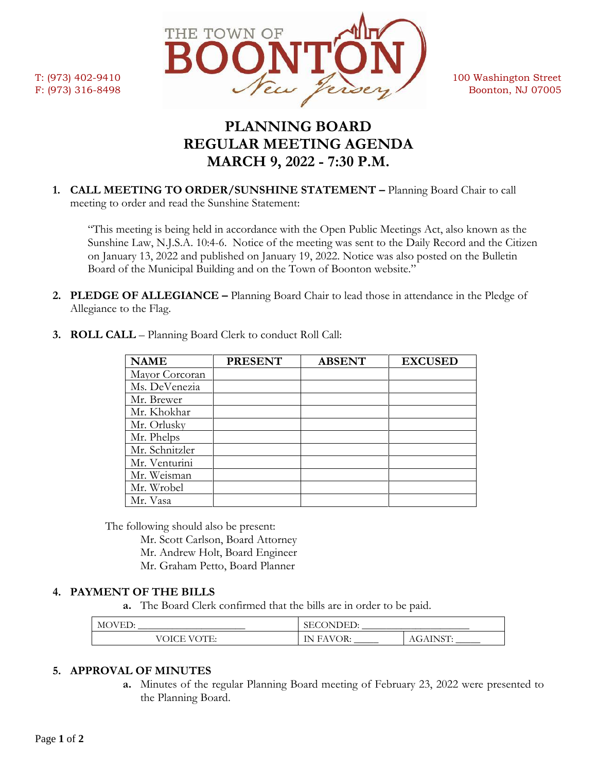

# **PLANNING BOARD REGULAR MEETING AGENDA MARCH 9, 2022 - 7:30 P.M.**

**1. CALL MEETING TO ORDER/SUNSHINE STATEMENT –** Planning Board Chair to call meeting to order and read the Sunshine Statement:

"This meeting is being held in accordance with the Open Public Meetings Act, also known as the Sunshine Law, N.J.S.A. 10:4-6. Notice of the meeting was sent to the Daily Record and the Citizen on January 13, 2022 and published on January 19, 2022. Notice was also posted on the Bulletin Board of the Municipal Building and on the Town of Boonton website."

**2. PLEDGE OF ALLEGIANCE –** Planning Board Chair to lead those in attendance in the Pledge of Allegiance to the Flag.

| <b>NAME</b>    | <b>PRESENT</b> | <b>ABSENT</b> | <b>EXCUSED</b> |
|----------------|----------------|---------------|----------------|
| Mayor Corcoran |                |               |                |
| Ms. DeVenezia  |                |               |                |
| Mr. Brewer     |                |               |                |
| Mr. Khokhar    |                |               |                |
| Mr. Orlusky    |                |               |                |
| Mr. Phelps     |                |               |                |
| Mr. Schnitzler |                |               |                |
| Mr. Venturini  |                |               |                |
| Mr. Weisman    |                |               |                |
| Mr. Wrobel     |                |               |                |
| Mr. Vasa       |                |               |                |

**3. ROLL CALL** – Planning Board Clerk to conduct Roll Call:

The following should also be present:

Mr. Scott Carlson, Board Attorney Mr. Andrew Holt, Board Engineer

Mr. Graham Petto, Board Planner

# **4. PAYMENT OF THE BILLS**

**a.** The Board Clerk confirmed that the bills are in order to be paid.

| $\mathbf{v}$<br>AM <sup>7</sup><br>--     | ЪH<br>, , , , ,<br><b>.</b><br>$\tilde{\phantom{a}}$ |                |
|-------------------------------------------|------------------------------------------------------|----------------|
| <b>NCE</b><br>$\sqrt{6}$<br>.<br>. .<br>◡ | ∩R∙<br>ъ.<br>$\overline{1}$                          | . NRT<br>AGAIN |

## **5. APPROVAL OF MINUTES**

**a.** Minutes of the regular Planning Board meeting of February 23, 2022 were presented to the Planning Board.